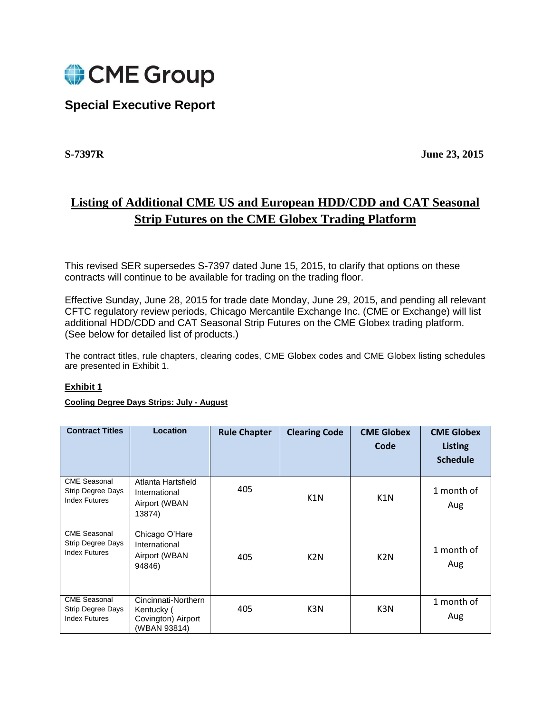

## **Special Executive Report**

**S-7397R June 23, 2015**

# **Listing of Additional CME US and European HDD/CDD and CAT Seasonal Strip Futures on the CME Globex Trading Platform**

This revised SER supersedes S-7397 dated June 15, 2015, to clarify that options on these contracts will continue to be available for trading on the trading floor.

Effective Sunday, June 28, 2015 for trade date Monday, June 29, 2015, and pending all relevant CFTC regulatory review periods, Chicago Mercantile Exchange Inc. (CME or Exchange) will list additional HDD/CDD and CAT Seasonal Strip Futures on the CME Globex trading platform. (See below for detailed list of products.)

The contract titles, rule chapters, clearing codes, CME Globex codes and CME Globex listing schedules are presented in Exhibit 1.

#### **Exhibit 1**

#### **Cooling Degree Days Strips: July - August**

| <b>Contract Titles</b>                                           | <b>Location</b>                                                         | <b>Rule Chapter</b> | <b>Clearing Code</b> | <b>CME Globex</b><br>Code | <b>CME Globex</b><br><b>Listing</b><br><b>Schedule</b> |
|------------------------------------------------------------------|-------------------------------------------------------------------------|---------------------|----------------------|---------------------------|--------------------------------------------------------|
| <b>CME Seasonal</b><br>Strip Degree Days<br><b>Index Futures</b> | Atlanta Hartsfield<br>International<br>Airport (WBAN<br>13874)          | 405                 | K1N                  | K1N                       | 1 month of<br>Aug                                      |
| <b>CME Seasonal</b><br>Strip Degree Days<br><b>Index Futures</b> | Chicago O'Hare<br>International<br>Airport (WBAN<br>94846)              | 405                 | K <sub>2</sub> N     | K <sub>2</sub> N          | 1 month of<br>Aug                                      |
| <b>CME Seasonal</b><br>Strip Degree Days<br><b>Index Futures</b> | Cincinnati-Northern<br>Kentucky (<br>Covington) Airport<br>(WBAN 93814) | 405                 | K3N                  | K3N                       | 1 month of<br>Aug                                      |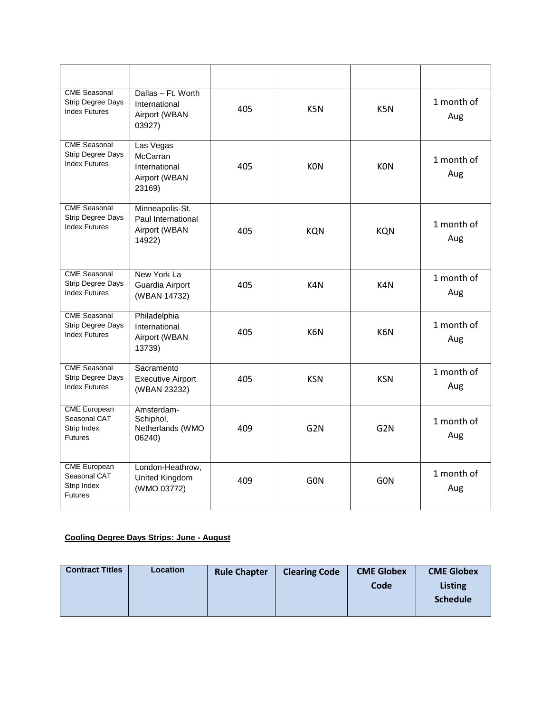| <b>CME Seasonal</b><br>Strip Degree Days<br><b>Index Futures</b>        | Dallas - Ft. Worth<br>International<br>Airport (WBAN<br>03927)    | 405 | K5N             | K5N              | 1 month of<br>Aug |
|-------------------------------------------------------------------------|-------------------------------------------------------------------|-----|-----------------|------------------|-------------------|
| <b>CME Seasonal</b><br><b>Strip Degree Days</b><br><b>Index Futures</b> | Las Vegas<br>McCarran<br>International<br>Airport (WBAN<br>23169) | 405 | <b>KON</b>      | <b>KON</b>       | 1 month of<br>Aug |
| <b>CME Seasonal</b><br>Strip Degree Days<br><b>Index Futures</b>        | Minneapolis-St.<br>Paul International<br>Airport (WBAN<br>14922)  | 405 | <b>KQN</b>      | <b>KQN</b>       | 1 month of<br>Aug |
| <b>CME Seasonal</b><br><b>Strip Degree Days</b><br><b>Index Futures</b> | New York La<br>Guardia Airport<br>(WBAN 14732)                    | 405 | K4N             | K4N              | 1 month of<br>Aug |
| <b>CME Seasonal</b><br>Strip Degree Days<br><b>Index Futures</b>        | Philadelphia<br>International<br>Airport (WBAN<br>13739)          | 405 | K6N             | K6N              | 1 month of<br>Aug |
| <b>CME</b> Seasonal<br><b>Strip Degree Days</b><br><b>Index Futures</b> | Sacramento<br><b>Executive Airport</b><br>(WBAN 23232)            | 405 | <b>KSN</b>      | <b>KSN</b>       | 1 month of<br>Aug |
| <b>CME</b> European<br>Seasonal CAT<br>Strip Index<br><b>Futures</b>    | Amsterdam-<br>Schiphol,<br>Netherlands (WMO<br>06240)             | 409 | G <sub>2N</sub> | G <sub>2N</sub>  | 1 month of<br>Aug |
| <b>CME</b> European<br>Seasonal CAT<br>Strip Index<br><b>Futures</b>    | London-Heathrow,<br>United Kingdom<br>(WMO 03772)                 | 409 | <b>GON</b>      | G <sub>O</sub> N | 1 month of<br>Aug |

#### **Cooling Degree Days Strips: June - August**

| <b>Contract Titles</b> | Location | <b>Rule Chapter</b> | <b>Clearing Code</b> | <b>CME Globex</b> | <b>CME Globex</b> |
|------------------------|----------|---------------------|----------------------|-------------------|-------------------|
|                        |          |                     |                      | Code              | <b>Listing</b>    |
|                        |          |                     |                      |                   | <b>Schedule</b>   |
|                        |          |                     |                      |                   |                   |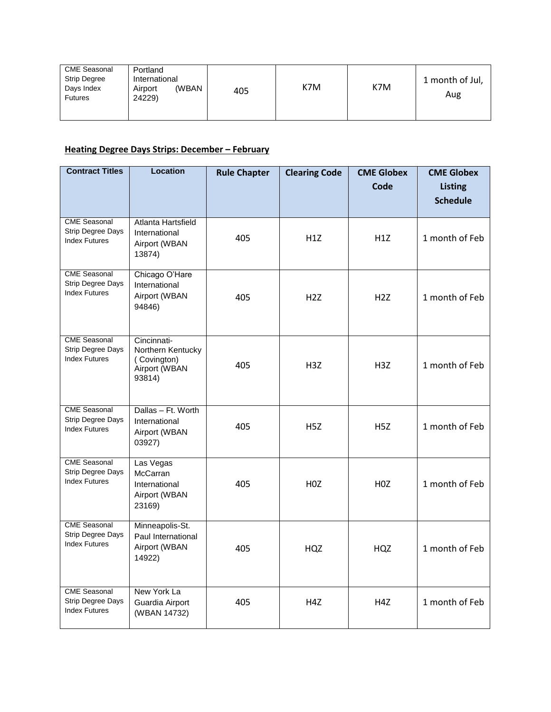| <b>CME Seasonal</b><br><b>Strip Degree</b><br>Days Index<br><b>Futures</b> | Portland<br>International<br>(WBAN<br>Airport<br>24229) | 405 | K7M | K7M | 1 month of Jul,<br>Aug |
|----------------------------------------------------------------------------|---------------------------------------------------------|-----|-----|-----|------------------------|
|----------------------------------------------------------------------------|---------------------------------------------------------|-----|-----|-----|------------------------|

## **Heating Degree Days Strips: December – February**

| <b>Contract Titles</b>                                                  | <b>Location</b>                                                            | <b>Rule Chapter</b> | <b>Clearing Code</b> | <b>CME Globex</b><br><b>Code</b> | <b>CME Globex</b><br><b>Listing</b><br><b>Schedule</b> |
|-------------------------------------------------------------------------|----------------------------------------------------------------------------|---------------------|----------------------|----------------------------------|--------------------------------------------------------|
| <b>CME Seasonal</b><br>Strip Degree Days<br><b>Index Futures</b>        | Atlanta Hartsfield<br>International<br>Airport (WBAN<br>13874)             | 405                 | H1Z                  | H1Z                              | 1 month of Feb                                         |
| <b>CME Seasonal</b><br>Strip Degree Days<br><b>Index Futures</b>        | Chicago O'Hare<br>International<br>Airport (WBAN<br>94846)                 | 405                 | H2Z                  | H2Z                              | 1 month of Feb                                         |
| <b>CME Seasonal</b><br><b>Strip Degree Days</b><br><b>Index Futures</b> | Cincinnati-<br>Northern Kentucky<br>(Covington)<br>Airport (WBAN<br>93814) | 405                 | H <sub>3Z</sub>      | H <sub>3Z</sub>                  | 1 month of Feb                                         |
| <b>CME</b> Seasonal<br>Strip Degree Days<br><b>Index Futures</b>        | Dallas - Ft. Worth<br>International<br>Airport (WBAN<br>03927)             | 405                 | H5Z                  | H <sub>5</sub> Z                 | 1 month of Feb                                         |
| <b>CME Seasonal</b><br>Strip Degree Days<br><b>Index Futures</b>        | Las Vegas<br><b>McCarran</b><br>International<br>Airport (WBAN<br>23169)   | 405                 | H <sub>0</sub> Z     | H <sub>0</sub> Z                 | 1 month of Feb                                         |
| <b>CME Seasonal</b><br>Strip Degree Days<br><b>Index Futures</b>        | Minneapolis-St.<br>Paul International<br>Airport (WBAN<br>14922)           | 405                 | <b>HQZ</b>           | HQZ                              | 1 month of Feb                                         |
| <b>CME</b> Seasonal<br><b>Strip Degree Days</b><br><b>Index Futures</b> | New York La<br>Guardia Airport<br>(WBAN 14732)                             | 405                 | H4Z                  | H4Z                              | 1 month of Feb                                         |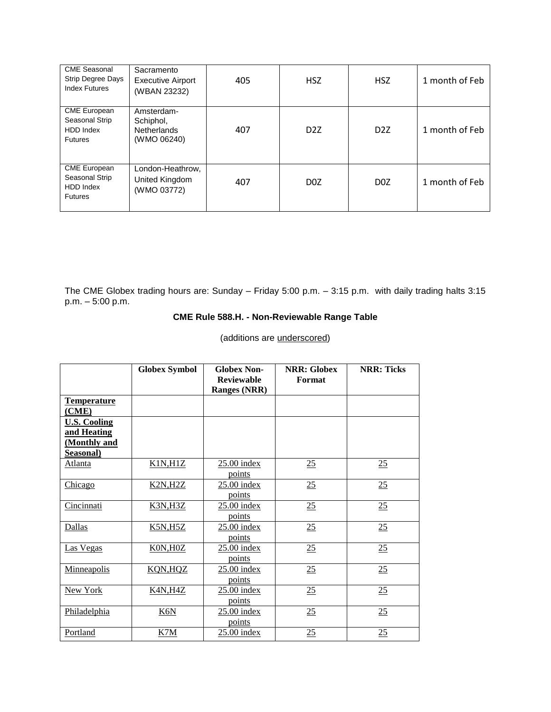| <b>CME Seasonal</b><br>Strip Degree Days<br><b>Index Futures</b>     | Sacramento<br><b>Executive Airport</b><br>(WBAN 23232)       | 405 | <b>HSZ</b>       | <b>HSZ</b>       | 1 month of Feb |
|----------------------------------------------------------------------|--------------------------------------------------------------|-----|------------------|------------------|----------------|
| <b>CME European</b><br>Seasonal Strip<br>HDD Index<br><b>Futures</b> | Amsterdam-<br>Schiphol,<br><b>Netherlands</b><br>(WMO 06240) | 407 | D <sub>2</sub> Z | D <sub>2</sub> Z | 1 month of Feb |
| <b>CME European</b><br>Seasonal Strip<br>HDD Index<br><b>Futures</b> | London-Heathrow,<br>United Kingdom<br>(WMO 03772)            | 407 | D <sub>0</sub> Z | D <sub>0</sub> Z | 1 month of Feb |

The CME Globex trading hours are: Sunday – Friday 5:00 p.m. – 3:15 p.m. with daily trading halts 3:15 p.m. – 5:00 p.m.

## **CME Rule 588.H. - Non-Reviewable Range Table**

|                     | <b>Globex Symbol</b> | <b>Globex Non-</b><br><b>Reviewable</b> | <b>NRR: Globex</b><br>Format | <b>NRR: Ticks</b> |
|---------------------|----------------------|-----------------------------------------|------------------------------|-------------------|
|                     |                      | <b>Ranges (NRR)</b>                     |                              |                   |
| <b>Temperature</b>  |                      |                                         |                              |                   |
| (CME)               |                      |                                         |                              |                   |
| <b>U.S. Cooling</b> |                      |                                         |                              |                   |
| and Heating         |                      |                                         |                              |                   |
| (Monthly and        |                      |                                         |                              |                   |
| Seasonal)           |                      |                                         |                              |                   |
| <b>Atlanta</b>      | K1N, H1Z             | 25.00 index                             | 25                           | 25                |
|                     |                      | points                                  |                              |                   |
| Chicago             | K2N, H2Z             | $25.00$ index                           | 25                           | 25                |
|                     |                      | points                                  |                              |                   |
| Cincinnati          | <b>K3N,H3Z</b>       | $25.00$ index                           | 25                           | 25                |
|                     |                      | points                                  |                              |                   |
| <b>Dallas</b>       | K5N, H5Z             | $25.00$ index                           | 25                           | 25                |
|                     |                      | points                                  |                              |                   |
| Las Vegas           | K0N, H0Z             | $25.00$ index                           | 25                           | 25                |
|                     |                      | points                                  |                              |                   |
| Minneapolis         | KQN, HQZ             | $25.00$ index                           | 25                           | 25                |
|                     |                      | points                                  |                              |                   |
| New York            | <b>K4N,H4Z</b>       | $25.00$ index                           | 25                           | 25                |
|                     |                      | points                                  |                              |                   |
| Philadelphia        | K6N                  | 25.00 index                             | 25                           | 25                |
|                     |                      | points                                  |                              |                   |
| Portland            | K7M                  | $25.00$ index                           | 25                           | 25                |
|                     |                      |                                         |                              |                   |

(additions are underscored)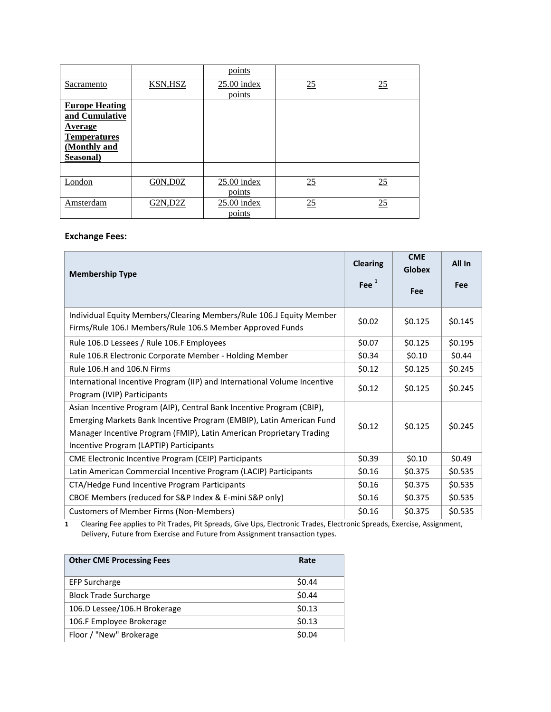|                                                                                                        |                | points                  |    |    |
|--------------------------------------------------------------------------------------------------------|----------------|-------------------------|----|----|
| Sacramento                                                                                             | <b>KSN,HSZ</b> | $25.00$ index<br>points | 25 | 25 |
| <b>Europe Heating</b><br>and Cumulative<br>Average<br><b>Temperatures</b><br>(Monthly and<br>Seasonal) |                |                         |    |    |
|                                                                                                        |                |                         |    |    |
| London                                                                                                 | GON, DOZ       | $25.00$ index<br>points | 25 | 25 |
| Amsterdam                                                                                              | G2N, D2Z       | $25.00$ index<br>points | 25 | 25 |

### **Exchange Fees:**

| <b>Membership Type</b>                                                                                                                                                                                                                                           |         | <b>CME</b><br><b>Globex</b> | All In  |
|------------------------------------------------------------------------------------------------------------------------------------------------------------------------------------------------------------------------------------------------------------------|---------|-----------------------------|---------|
|                                                                                                                                                                                                                                                                  | Fee $1$ | <b>Fee</b>                  | Fee     |
| Individual Equity Members/Clearing Members/Rule 106.J Equity Member<br>Firms/Rule 106.I Members/Rule 106.S Member Approved Funds                                                                                                                                 | \$0.02  | \$0.125                     | \$0.145 |
| Rule 106.D Lessees / Rule 106.F Employees                                                                                                                                                                                                                        | \$0.07  | \$0.125                     | \$0.195 |
| Rule 106.R Electronic Corporate Member - Holding Member                                                                                                                                                                                                          | \$0.34  | \$0.10                      | \$0.44  |
| Rule 106.H and 106.N Firms                                                                                                                                                                                                                                       | \$0.12  | \$0.125                     | \$0.245 |
| International Incentive Program (IIP) and International Volume Incentive<br>Program (IVIP) Participants                                                                                                                                                          | \$0.12  | \$0.125                     | \$0.245 |
| Asian Incentive Program (AIP), Central Bank Incentive Program (CBIP),<br>Emerging Markets Bank Incentive Program (EMBIP), Latin American Fund<br>Manager Incentive Program (FMIP), Latin American Proprietary Trading<br>Incentive Program (LAPTIP) Participants | \$0.12  | \$0.125                     | \$0.245 |
| CME Electronic Incentive Program (CEIP) Participants                                                                                                                                                                                                             | \$0.39  | \$0.10                      | \$0.49  |
| Latin American Commercial Incentive Program (LACIP) Participants                                                                                                                                                                                                 | \$0.16  | \$0.375                     | \$0.535 |
| CTA/Hedge Fund Incentive Program Participants                                                                                                                                                                                                                    | \$0.16  | \$0.375                     | \$0.535 |
| CBOE Members (reduced for S&P Index & E-mini S&P only)                                                                                                                                                                                                           | \$0.16  | \$0.375                     | \$0.535 |
| <b>Customers of Member Firms (Non-Members)</b>                                                                                                                                                                                                                   | \$0.16  | \$0.375                     | \$0.535 |

**1** Clearing Fee applies to Pit Trades, Pit Spreads, Give Ups, Electronic Trades, Electronic Spreads, Exercise, Assignment, Delivery, Future from Exercise and Future from Assignment transaction types.

| <b>Other CME Processing Fees</b> | Rate   |
|----------------------------------|--------|
| <b>EFP Surcharge</b>             | \$0.44 |
| <b>Block Trade Surcharge</b>     | \$0.44 |
| 106.D Lessee/106.H Brokerage     | \$0.13 |
| 106.F Employee Brokerage         | \$0.13 |
| Floor / "New" Brokerage          | \$0.04 |